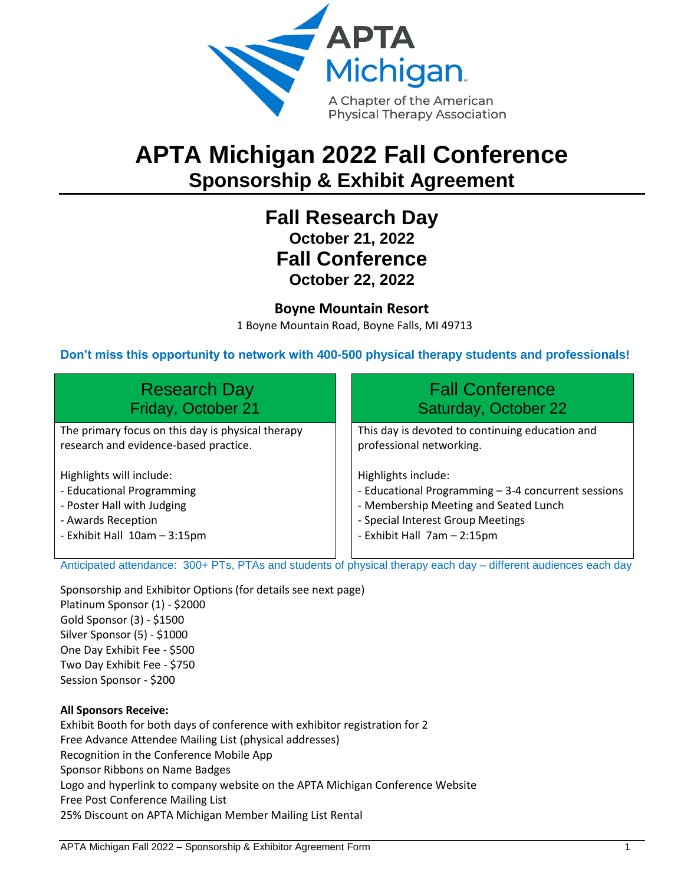

# **APTA Michigan 2022 Fall Conference Sponsorship & Exhibit Agreement**

# **Fall Research Day October 21, 2022 Fall Conference October 22, 2022**

# **Boyne Mountain Resort**

1 Boyne Mountain Road, Boyne Falls, MI 49713

# **Don't miss this opportunity to network with 400-500 physical therapy students and professionals!**

| <b>Research Day</b>                               | <b>Fall Conference</b>                              |
|---------------------------------------------------|-----------------------------------------------------|
| Friday, October 21                                | Saturday, October 22                                |
| The primary focus on this day is physical therapy | This day is devoted to continuing education and     |
| research and evidence-based practice.             | professional networking.                            |
| Highlights will include:                          | Highlights include:                                 |
| - Educational Programming                         | - Educational Programming - 3-4 concurrent sessions |
| - Poster Hall with Judging                        | - Membership Meeting and Seated Lunch               |
| - Awards Reception                                | - Special Interest Group Meetings                   |
| - Exhibit Hall 10am - 3:15pm                      | - Exhibit Hall 7am - 2:15pm                         |

Anticipated attendance: 300+ PTs, PTAs and students of physical therapy each day – different audiences each day

Sponsorship and Exhibitor Options (for details see next page) Platinum Sponsor (1) - \$2000 Gold Sponsor (3) - \$1500 Silver Sponsor (5) - \$1000 One Day Exhibit Fee - \$500 Two Day Exhibit Fee - \$750 Session Sponsor - \$200

#### **All Sponsors Receive:**

Exhibit Booth for both days of conference with exhibitor registration for 2 Free Advance Attendee Mailing List (physical addresses) Recognition in the Conference Mobile App Sponsor Ribbons on Name Badges Logo and hyperlink to company website on the APTA Michigan Conference Website Free Post Conference Mailing List 25% Discount on APTA Michigan Member Mailing List Rental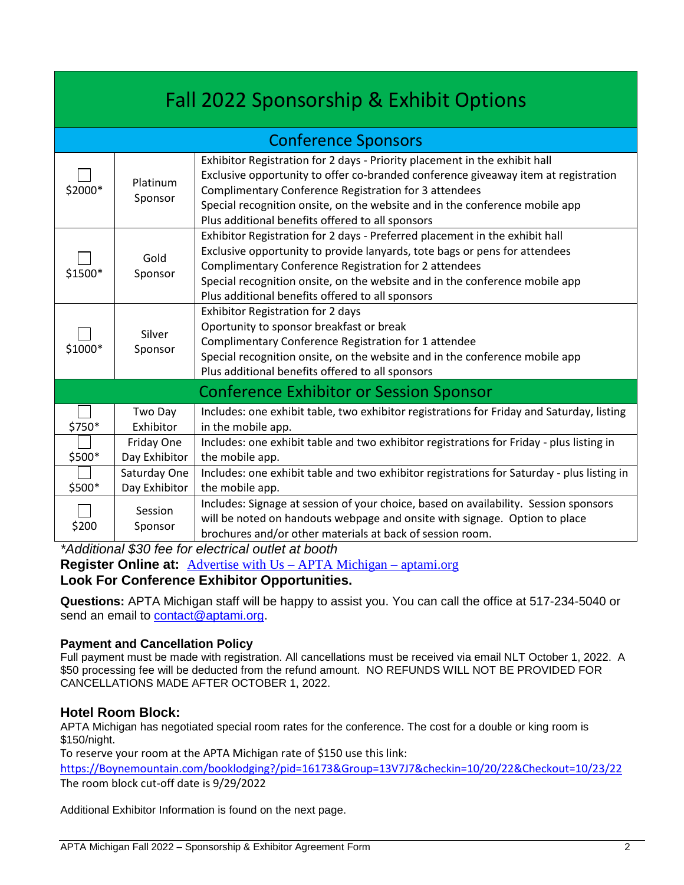| Fall 2022 Sponsorship & Exhibit Options |                               |                                                                                                                                                                                                                                                                                                                                                              |
|-----------------------------------------|-------------------------------|--------------------------------------------------------------------------------------------------------------------------------------------------------------------------------------------------------------------------------------------------------------------------------------------------------------------------------------------------------------|
| <b>Conference Sponsors</b>              |                               |                                                                                                                                                                                                                                                                                                                                                              |
| \$2000*                                 | Platinum<br>Sponsor           | Exhibitor Registration for 2 days - Priority placement in the exhibit hall<br>Exclusive opportunity to offer co-branded conference giveaway item at registration<br>Complimentary Conference Registration for 3 attendees<br>Special recognition onsite, on the website and in the conference mobile app<br>Plus additional benefits offered to all sponsors |
| \$1500*                                 | Gold<br>Sponsor               | Exhibitor Registration for 2 days - Preferred placement in the exhibit hall<br>Exclusive opportunity to provide lanyards, tote bags or pens for attendees<br>Complimentary Conference Registration for 2 attendees<br>Special recognition onsite, on the website and in the conference mobile app<br>Plus additional benefits offered to all sponsors        |
| \$1000*                                 | Silver<br>Sponsor             | <b>Exhibitor Registration for 2 days</b><br>Oportunity to sponsor breakfast or break<br>Complimentary Conference Registration for 1 attendee<br>Special recognition onsite, on the website and in the conference mobile app<br>Plus additional benefits offered to all sponsors                                                                              |
| Conference Exhibitor or Session Sponsor |                               |                                                                                                                                                                                                                                                                                                                                                              |
| \$750*                                  | Two Day<br>Exhibitor          | Includes: one exhibit table, two exhibitor registrations for Friday and Saturday, listing<br>in the mobile app.                                                                                                                                                                                                                                              |
| \$500*                                  | Friday One<br>Day Exhibitor   | Includes: one exhibit table and two exhibitor registrations for Friday - plus listing in<br>the mobile app.                                                                                                                                                                                                                                                  |
| \$500*                                  | Saturday One<br>Day Exhibitor | Includes: one exhibit table and two exhibitor registrations for Saturday - plus listing in<br>the mobile app.                                                                                                                                                                                                                                                |
| \$200                                   | Session<br>Sponsor            | Includes: Signage at session of your choice, based on availability. Session sponsors<br>will be noted on handouts webpage and onsite with signage. Option to place<br>brochures and/or other materials at back of session room.                                                                                                                              |

*\*Additional \$30 fee for electrical outlet at booth*

**Register Online at:** [Advertise with Us –](https://aptami.org/advertise-with-us/) APTA Michigan – aptami.org

# **Look For Conference Exhibitor Opportunities.**

**Questions:** APTA Michigan staff will be happy to assist you. You can call the office at 517-234-5040 or send an email to [contact@aptami.org.](mailto:contact@aptami.org)

# **Payment and Cancellation Policy**

Full payment must be made with registration. All cancellations must be received via email NLT October 1, 2022. A \$50 processing fee will be deducted from the refund amount. NO REFUNDS WILL NOT BE PROVIDED FOR CANCELLATIONS MADE AFTER OCTOBER 1, 2022.

# **Hotel Room Block:**

APTA Michigan has negotiated special room rates for the conference. The cost for a double or king room is \$150/night.

To reserve your room at the APTA Michigan rate of \$150 use this link:

[https://Boynemountain.com/booklodging?/pid=16173&Group=13V7J7&checkin=10/20/22&Checkout=10/23/22](https://boynemountain.com/booklodging?/pid=16173&Group=13V7J7&checkin=10/20/22&Checkout=10/23/22) The room block cut-off date is 9/29/2022

Additional Exhibitor Information is found on the next page.